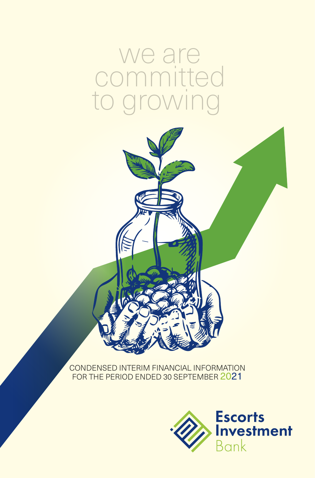# we are committed<br>to growing to growing



CONDENSED INTERIM FINANCIAL INFORMATION FOR THE PERIOD ENDED 30 SEPTEMBER 2021

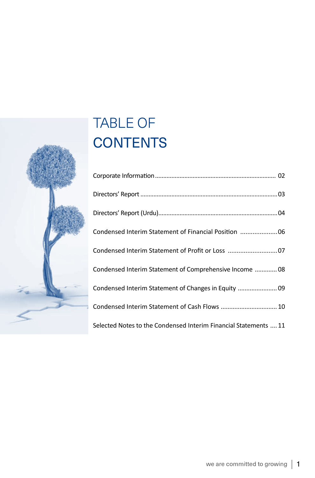# $\overline{\phantom{0}}$

# TABLE OF **CONTENTS**

| Condensed Interim Statement of Financial Position 06             |
|------------------------------------------------------------------|
| Condensed Interim Statement of Profit or Loss 07                 |
| Condensed Interim Statement of Comprehensive Income  08          |
| Condensed Interim Statement of Changes in Equity  09             |
| Condensed Interim Statement of Cash Flows  10                    |
| Selected Notes to the Condensed Interim Financial Statements  11 |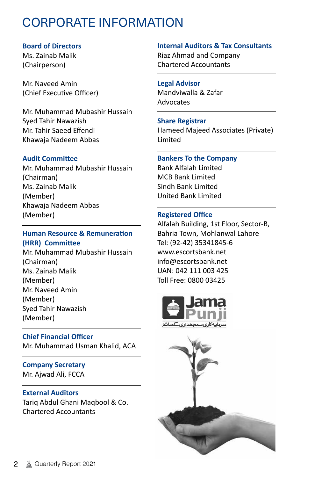# CORPORATE INFORMATION

#### **Board of Directors**

Ms. Zainab Malik (Chairperson)

Mr. Naveed Amin (Chief Executive Officer)

Mr. Muhammad Mubashir Hussain Syed Tahir Nawazish Mr. Tahir Saeed Effendi Khawaja Nadeem Abbas

#### **Audit Committee**

Mr. Muhammad Mubashir Hussain (Chairman) Ms. Zainab Malik (Member) Khawaja Nadeem Abbas (Member)

#### **Human Resource & Remuneration (HRR) Committee**

Mr. Muhammad Mubashir Hussain (Chairman) Ms. Zainab Malik (Member) Mr. Naveed Amin (Member) Syed Tahir Nawazish (Member)

**Chief Financial Officer** Mr. Muhammad Usman Khalid, ACA

#### **Company Secretary** Mr. Ajwad Ali, FCCA

#### **External Auditors**

Tariq Abdul Ghani Maqbool & Co. Chartered Accountants

#### **Internal Auditors & Tax Consultants**

Riaz Ahmad and Company Chartered Accountants

#### **Legal Advisor**

Mandviwalla & Zafar Advocates

#### **Share Registrar**

Hameed Majeed Associates (Private) Limited

#### **Bankers To the Company**

Bank Alfalah Limited MCB Bank Limited Sindh Bank Limited United Bank Limited

#### **Registered Office**

Alfalah Building, 1st Floor, Sector-B, Bahria Town, Mohlanwal Lahore Tel: (92-42) 35341845-6 www.escortsbank.net info@escortsbank.net UAN: 042 111 003 425 Toll Free: 0800 03425



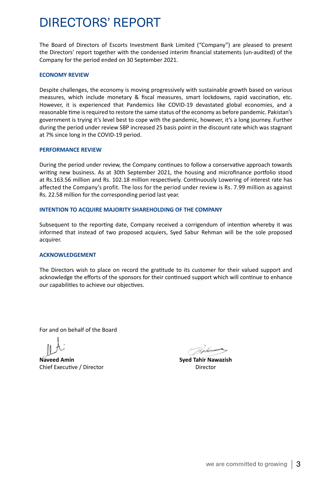# DIRECTORS' REPORT

The Board of Directors of Escorts Investment Bank Limited ("Company") are pleased to present the Directors' report together with the condensed interim financial statements (un-audited) of the Company for the period ended on 30 September 2021.

#### **ECONOMY REVIEW**

Despite challenges, the economy is moving progressively with sustainable growth based on various measures, which include monetary & fiscal measures, smart lockdowns, rapid vaccination, etc. However, it is experienced that Pandemics like COVID-19 devastated global economies, and a reasonable time is required to restore the same status of the economy as before pandemic. Pakistan's government is trying it's level best to cope with the pandemic, however, it's a long journey. Further during the period under review SBP increased 25 basis point in the discount rate which was stagnant at 7% since long in the COVID-19 period.

#### **PERFORMANCE REVIEW**

During the period under review, the Company continues to follow a conservative approach towards writing new business. As at 30th September 2021, the housing and microfinance portfolio stood at Rs.163.56 million and Rs. 102.18 million respectively. Continuously Lowering of interest rate has affected the Company's profit. The loss for the period under review is Rs. 7.99 million as against Rs. 22.58 million for the corresponding period last year.

#### **INTENTION TO ACQUIRE MAJORITY SHAREHOLDING OF THE COMPANY**

Subsequent to the reporting date, Company received a corrigendum of intention whereby it was informed that instead of two proposed acquiers, Syed Sabur Rehman will be the sole proposed acquirer.

#### **ACKNOWLEDGEMENT**

The Directors wish to place on record the gratitude to its customer for their valued support and acknowledge the efforts of the sponsors for their continued support which will continue to enhance our capabilities to achieve our objectives.

For and on behalf of the Board

**Naveed Amin Syed Tahir Nawazish** Chief Executive / Director Director Director

Vekimmer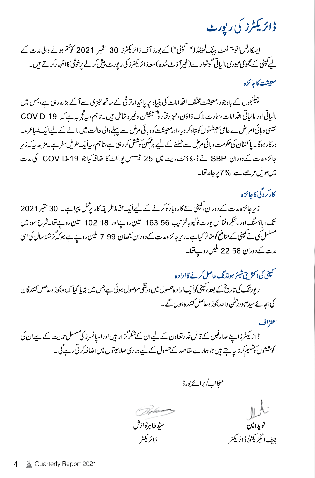# <u>ڈائریکٹرز کی رپورٹ</u>

ایسکارٹس انویسٹمنٹ بینک لمیٹڈ ("سمپنی") کے بورڈ آف ڈائریکٹرز 30 سمبر 2021 کوختم ہونے والی مدت کے لیے مینی کے مجموعی عبوری مالیاتی گوشوارے(غیرآ ڈٹ شدہ )معہ ڈائر یکٹرز کی رپورٹ پیش کرنے پرخوشی کااظہارکرتے ہیں۔ معيشت كإحائزه

چیلنجوں کے باوجود،معیشت مخلف اقدامات کی بنیاد پر پائیدارتر قی کے ساتھ تیزی سے آ گے بڑھ رہی ہے،جس میں مالیاتی اور مالیاتی اقدامات،سارٹ لاک ڈاؤن، تیز رفمار پلسینیشن وغیرہ شامل ہیں۔تاہم، بیٹجر بہ ہے کہ COVID-19 جیسی وبائی امراض نے عالمی معیشتوں کو تباہ کر دیا،اورمعیشت کووبائی مرض سے پہلے والی حالت میں لانے کے لیےا کی**ک لمباعرصہ** درکارہوگا۔ پاکستان کی حکومت و ہائی مرض سے نمٹنے کے لیے ہرممکن کوشش کررہی ہے،تاہم، بیایک طویل سفر ہے۔مزید بیرکہ زیر جائزہ مت کے دوران SBP نے ڈسکاؤنٹ ریٹ میں 25 نیسس یوائٹ کااضافہ کیا جو COVID-19 کی مدت میں طویل عرصے سے 7% یرجامد تھا۔

کارکردگی کاجائزہ

زیر جائزہ مدت کے دوران، کمپنی نئے کاروبارکوکرنے کے لیےایک مخاططر یقہ کار پڑمل پیراہے۔ 30 ستمبر2021 تک، ہاؤسنگ اور مائیکر وفنانس پورٹ فولیو بالترتیب 163.56 ملین روپےاور 18 .102 ملین روپے تھا۔شرح سود میں مسلسل کی نے کمپنی کے منافع کومتاثر کیا ہے۔زیر چائزہ مدت کے دوران نقصان 7.99 ملین روپے ہے جو کہ گزشتہ سال کی اس مدت کےدوران 22.58 مکین روپے تھا۔

سمپنی کی اکثر ب<sup>ی</sup> شیئر ہولڈ تک حاصل کرنے کاارادہ ر يورٹنگ کی تاریخ کے بعد، کمپنی کوایک اراد وحصول میں درشگی موصول ہوئی ہےجس میں بتایا گیا کہ دومجوز ہ حاصل کنندگان کی بجائےسپدصبور ج<sup>ل</sup>ن واحد مجوز ہ حاصل کنند ہ ہوں گے۔

اعتراف ڈائریکٹرزاپنے صارفین کے قابل قدرتغاون کے لیےان کےشکرگزار ہیںاوراسانسرز کی مسلسل حمایت کے لیےان کی کوششوں کوتنگیم کرناجا ہتے ہیں جوہمارےمقاصد کے حصول کے لیے ہماری صلاحیتوں میں اضافہ کرتی رہے گی۔

منجانب/برائے بورڈ

at (De kimmen ستبطا هرنوازش نويدامين ڈائریکٹر حيف انگز بکڻا ڈائر بکٹر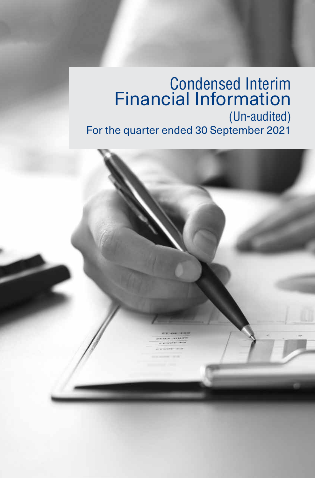# Condensed Interim Financial Information (Un-audited) For the quarter ended 30 September 2021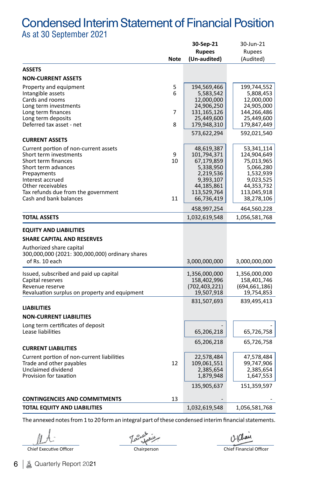### Condensed Interim Statement of Financial Position As at 30 September 2021

|                                                 |         | 30-Sep-21               | 30-Jun-21                 |
|-------------------------------------------------|---------|-------------------------|---------------------------|
|                                                 |         | <b>Rupees</b>           | Rupees                    |
|                                                 | Note    | (Un-audited)            | (Audited)                 |
| <b>ASSETS</b>                                   |         |                         |                           |
| <b>NON-CURRENT ASSETS</b>                       |         |                         |                           |
| Property and equipment                          | 5       | 194,569,466             | 199,744,552               |
| Intangible assets                               | 6       | 5,583,542               | 5,808,453                 |
| Cards and rooms                                 |         | 12,000,000              | 12,000,000                |
| Long term investments                           |         | 24,906,250              | 24,905,000                |
| Long term finances                              | 7       | 131,165,126             | 144,266,486               |
| Long term deposits                              |         | 25,449,600              | 25,449,600                |
| Deferred tax asset - net                        | 8       | 179,948,310             | 179,847,449               |
|                                                 |         | 573,622,294             | 592,021,540               |
| <b>CURRENT ASSETS</b>                           |         |                         |                           |
| Current portion of non-current assets           |         | 48,619,387              | 53,341,114                |
| Short term investments<br>Short term finances   | 9<br>10 | 101,794,371             | 124,904,649<br>75,013,965 |
| Short term advances                             |         | 67,179,859<br>5,338,950 | 5,066,280                 |
| Prepayments                                     |         | 2,219,536               | 1,532,939                 |
| Interest accrued                                |         | 9,393,107               | 9,023,525                 |
| Other receivables                               |         | 44,185,861              | 44,353,732                |
| Tax refunds due from the government             |         | 113,529,764             | 113,045,918               |
| Cash and bank balances                          | 11      | 66,736,419              | 38,278,106                |
|                                                 |         | 458,997,254             | 464,560,228               |
| TOTAL ASSETS                                    |         | 1,032,619,548           | 1,056,581,768             |
| <b>EQUITY AND LIABILITIES</b>                   |         |                         |                           |
| <b>SHARE CAPITAL AND RESERVES</b>               |         |                         |                           |
|                                                 |         |                         |                           |
| Authorized share capital                        |         |                         |                           |
| 300,000,000 (2021: 300,000,000) ordinary shares |         |                         |                           |
| of Rs. 10 each                                  |         | 3,000,000,000           | 3,000,000,000             |
| Issued, subscribed and paid up capital          |         | 1,356,000,000           | 1,356,000,000             |
| Capital reserves                                |         | 158,402,996             | 158,401,746               |
| Revenue reserve                                 |         | (702, 403, 221)         | (694, 661, 186)           |
| Revaluation surplus on property and equipment   |         | 19,507,918              | 19,754,853                |
|                                                 |         | 831,507,693             | 839,495,413               |
| <b>LIABILITIES</b>                              |         |                         |                           |
| <b>NON-CURRENT LIABILITIES</b>                  |         |                         |                           |
| Long term certificates of deposit               |         |                         |                           |
| Lease liabilities                               |         | 65,206,218              | 65,726,758                |
|                                                 |         | 65,206,218              | 65,726,758                |
| <b>CURRENT LIABILITIES</b>                      |         |                         |                           |
| Current portion of non-current liabilities      |         | 22,578,484              | 47,578,484                |
| Trade and other payables                        | 12      | 109,061,551             | 99,747,906                |
| Unclaimed dividend                              |         | 2,385,654               | 2,385,654                 |
| Provision for taxation                          |         | 1,879,948               | 1,647,553                 |
|                                                 |         | 135,905,637             | 151,359,597               |
| <b>CONTINGENCIES AND COMMITMENTS</b>            | 13      |                         |                           |
| TOTAL EQUITY AND LIABILITIES                    |         | 1,032,619,548           | 1,056,581,768             |
|                                                 |         |                         |                           |

The annexed notes from 1 to 20 form an integral part of these condensed interim financial statements.

Chief Executive Officer Chairperson Chairperson Chief Financial Officer

12 Chan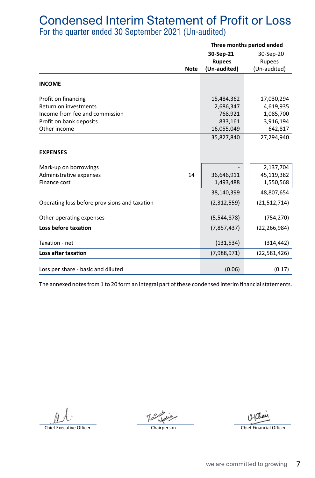# Condensed Interim Statement of Profit or Loss

For the quarter ended 30 September 2021 (Un-audited)

|                                               |               | Three months period ended |
|-----------------------------------------------|---------------|---------------------------|
|                                               | 30-Sep-21     | 30-Sep-20                 |
|                                               | <b>Rupees</b> | Rupees                    |
| <b>Note</b>                                   | (Un-audited)  | (Un-audited)              |
|                                               |               |                           |
| <b>INCOME</b>                                 |               |                           |
| Profit on financing                           | 15,484,362    | 17,030,294                |
| Return on investments                         | 2,686,347     | 4,619,935                 |
| Income from fee and commission                | 768,921       | 1,085,700                 |
| Profit on bank deposits                       | 833,161       | 3,916,194                 |
| Other income                                  | 16,055,049    | 642,817                   |
|                                               | 35,827,840    | 27,294,940                |
| <b>EXPENSES</b>                               |               |                           |
| Mark-up on borrowings                         |               | 2,137,704                 |
| 14<br>Administrative expenses                 | 36,646,911    | 45,119,382                |
| Finance cost                                  | 1,493,488     | 1,550,568                 |
|                                               | 38,140,399    | 48,807,654                |
| Operating loss before provisions and taxation | (2,312,559)   | (21,512,714)              |
| Other operating expenses                      | (5,544,878)   | (754, 270)                |
| Loss before taxation                          | (7,857,437)   | (22, 266, 984)            |
| Taxation - net                                | (131, 534)    | (314, 442)                |
| Loss after taxation                           | (7,988,971)   | (22,581,426)              |
| Loss per share - basic and diluted            | (0.06)        | (0.17)                    |

The annexed notes from 1 to 20 form an integral part of these condensed interim financial statements.

Chief Executive Officer Chairperson Chief Financial Officer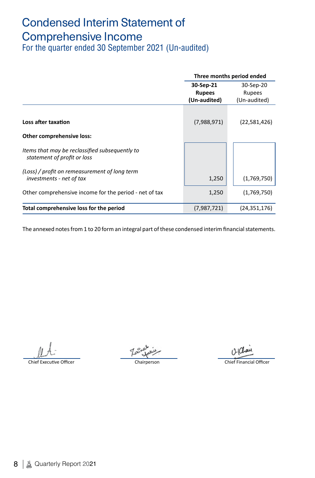# Condensed Interim Statement of Comprehensive Income

For the quarter ended 30 September 2021 (Un-audited)

|                                                                               |                               | Three months period ended |
|-------------------------------------------------------------------------------|-------------------------------|---------------------------|
|                                                                               | 30-Sep-21                     | 30-Sep-20                 |
|                                                                               | <b>Rupees</b><br>(Un-audited) | Rupees<br>(Un-audited)    |
| Loss after taxation                                                           | (7,988,971)                   | (22,581,426)              |
|                                                                               |                               |                           |
| Other comprehensive loss:                                                     |                               |                           |
| Items that may be reclassified subsequently to<br>statement of profit or loss |                               |                           |
| (Loss) / profit on remeasurement of long term<br>investments - net of tax     | 1,250                         | (1,769,750)               |
| Other comprehensive income for the period - net of tax                        | 1,250                         | (1,769,750)               |
| Total comprehensive loss for the period                                       | (7,987,721)                   | (24, 351, 176)            |
|                                                                               |                               |                           |

The annexed notes from 1 to 20 form an integral part of these condensed interim financial statements.

Chief Executive Officer Chairperson Chief Financial Officer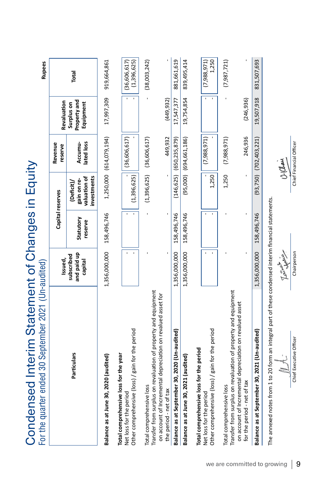| Condensed Interim Statement of Changes in Equity<br>For the quarter ended 30 September 2021 (Un-audited)             |                                       |                      |                                                          |                                |                                         | <b>Rupees</b>               |
|----------------------------------------------------------------------------------------------------------------------|---------------------------------------|----------------------|----------------------------------------------------------|--------------------------------|-----------------------------------------|-----------------------------|
|                                                                                                                      | Issued,                               |                      | Capital reserves                                         | Revenue<br>reserve             | Revaluation                             |                             |
| Particulars                                                                                                          | and piaid up<br>subscribed<br>capital | Statutory<br>reserve | investments<br>valuation of<br>gain on re-<br>(Deficit)/ | lated loss<br>Accumu-          | Property and<br>Equipment<br>Surplus on | Total                       |
| Balance as at June 30, 2020 (audited)                                                                                | 1,356,000,000 158,496,746             |                      |                                                          | 1,250,000 (614,079,194)        | 17,997,309                              | 919,664,861                 |
| Other comprehensive (loss) / gain for the period<br>Total comprehensive loss for the year<br>Net loss for the period |                                       |                      | (1,396,625)                                              | (36,606,617)                   |                                         | (1,396,625)<br>(36,606,617) |
| Transfer from surplus on revaluation of property and equipment<br>Total comprehensive loss                           |                                       |                      | (1,396,625)                                              | (36,606,617)                   |                                         | (38,003,242)                |
| on account of Incremental depreciation on revalued asset for<br>the period - net of tax                              |                                       |                      |                                                          | 449,932                        | (449, 932)                              |                             |
| Balance as at September 30, 2020 (Un-audited)                                                                        | 1,356,000,000                         | 158,496,746          |                                                          | $(146, 625)$ $(650, 235, 879)$ | 17,547,377                              | 881,661,619                 |
| Balance as at June 30, 2021 (audited)                                                                                | 1,356,000,000                         | 158,496,746          |                                                          | $(95,000)$ $(694,661,186)$     | 19,754,854                              | 839,495,414                 |
| Total comprehensive loss for the period                                                                              |                                       |                      |                                                          |                                |                                         |                             |
| Other comprehensive (loss) / gain for the period<br>Net loss for the period                                          |                                       |                      | 1,250                                                    | (7,988,971)                    |                                         | 1,250<br>(7,988,971)        |
| Transfer from surplus on revaluation of property and equipment<br>Total comprehensive loss                           |                                       |                      | 1,250                                                    | (7,988,971)                    |                                         | (7,987,721)                 |
| on account of Incremental depreciation on revalued asset<br>for the period - net of tax                              |                                       |                      |                                                          | 246,936                        | (246,936)                               |                             |
| Balance as at September 30, 2021 (Un-audited)                                                                        | 1,356,000,000                         | 158,496,746          |                                                          | $(93,750)$ $(702,403,221)$     | 19,507,918                              | 831,507,693                 |
| The annexed notes from 1 to 20 form an integral part of these condensed interim financial statements.                |                                       |                      |                                                          |                                |                                         |                             |
|                                                                                                                      | Muller Col                            |                      |                                                          | $O(\alpha)$                    |                                         |                             |
| Chief Executive Officer                                                                                              | Chairperson                           |                      |                                                          | Chief Financial Officer        |                                         |                             |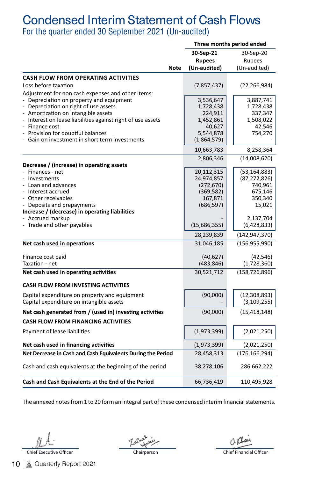## Condensed Interim Statement of Cash Flows

For the quarter ended 30 September 2021 (Un-audited)

|                                                                              |             |               | Three months period ended |
|------------------------------------------------------------------------------|-------------|---------------|---------------------------|
|                                                                              |             | 30-Sep-21     | 30-Sep-20                 |
|                                                                              |             | <b>Rupees</b> | Rupees                    |
|                                                                              | <b>Note</b> | (Un-audited)  | (Un-audited)              |
| <b>CASH FLOW FROM OPERATING ACTIVITIES</b>                                   |             |               |                           |
| Loss before taxation                                                         |             | (7, 857, 437) | (22, 266, 984)            |
| Adjustment for non cash expenses and other items:                            |             |               |                           |
| - Depreciation on property and equipment                                     |             | 3,536,647     | 3,887,741                 |
| - Depreciation on right of use assets                                        |             | 1,728,438     | 1,728,438                 |
| - Amortization on intangible assets                                          |             | 224,911       | 337,347                   |
| Interest on lease liabilities against right of use assets                    |             | 1,452,861     | 1,508,022                 |
| - Finance cost                                                               |             | 40,627        | 42,546                    |
| Provision for doubtful balances                                              |             | 5,544,878     | 754,270                   |
| Gain on investment in short term investments                                 |             | (1,864,579)   |                           |
|                                                                              |             | 10,663,783    | 8,258,364                 |
|                                                                              |             | 2,806,346     | (14,008,620)              |
| Decrease / (increase) in operating assets                                    |             |               |                           |
| Finances - net                                                               |             | 20,112,315    | (53, 164, 883)            |
| - Investments                                                                |             | 24,974,857    | (87, 272, 826)            |
| Loan and advances                                                            |             | (272, 670)    | 740,961                   |
| - Interest accrued<br>- Other receivables                                    |             | (369, 582)    | 675,146                   |
|                                                                              |             | 167,871       | 350,340                   |
| - Deposits and prepayments<br>Increase / (decrease) in operating liabilities |             | (686, 597)    | 15,021                    |
| Accrued markup                                                               |             |               | 2,137,704                 |
| - Trade and other payables                                                   |             | (15,686,355)  | (6,428,833)               |
|                                                                              |             |               |                           |
|                                                                              |             | 28,239,839    | (142, 947, 370)           |
| Net cash used in operations                                                  |             | 31,046,185    | (156, 955, 990)           |
| Finance cost paid                                                            |             | (40, 627)     | (42, 546)                 |
| Taxation - net                                                               |             | (483, 846)    | (1,728,360)               |
| Net cash used in operating activities                                        |             | 30,521,712    | (158, 726, 896)           |
| <b>CASH FLOW FROM INVESTING ACTIVITIES</b>                                   |             |               |                           |
| Capital expenditure on property and equipment                                |             | (90,000)      | (12, 308, 893)            |
| Capital expenditure on intangible assets                                     |             |               | (3, 109, 255)             |
| Net cash generated from / (used in) investing activities                     |             | (90,000)      | (15, 418, 148)            |
| <b>CASH FLOW FROM FINANCING ACTIVITIES</b>                                   |             |               |                           |
| Payment of lease liabilities                                                 |             | (1,973,399)   | (2,021,250)               |
| Net cash used in financing activities                                        |             | (1,973,399)   | (2,021,250)               |
| Net Decrease in Cash and Cash Equivalents During the Period                  |             | 28,458,313    | (176, 166, 294)           |
|                                                                              |             |               |                           |
| Cash and cash equivalents at the beginning of the period                     |             | 38,278,106    | 286,662,222               |
| Cash and Cash Equivalents at the End of the Period                           |             | 66,736,419    | 110,495,928               |
|                                                                              |             |               |                           |

The annexed notes from 1 to 20 form an integral part of these condensed interim financial statements.

Chief Executive Officer Chairperson Chief Financial Officer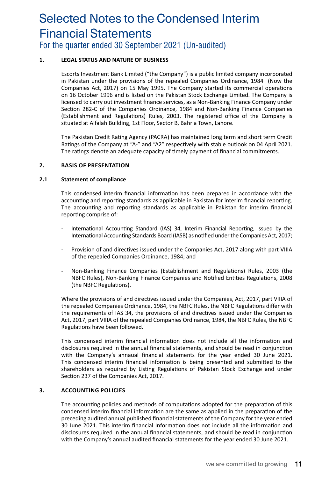## Selected Notes to the Condensed Interim Financial Statements For the quarter ended 30 September 2021 (Un-audited)

#### **1. LEGAL STATUS AND NATURE OF BUSINESS**

Escorts Investment Bank Limited ("the Company") is a public limited company incorporated in Pakistan under the provisions of the repealed Companies Ordinance, 1984 (Now the Companies Act, 2017) on 15 May 1995. The Company started its commercial operations on 16 October 1996 and is listed on the Pakistan Stock Exchange Limited. The Company is licensed to carry out investment finance services, as a Non-Banking Finance Company under Section 282-C of the Companies Ordinance, 1984 and Non-Banking Finance Companies (Establishment and Regulations) Rules, 2003. The registered office of the Company is situated at Alfalah Building, 1st Floor, Sector B, Bahria Town, Lahore.

The Pakistan Credit Rating Agency (PACRA) has maintained long term and short term Credit Ratings of the Company at "A-" and "A2" respectively with stable outlook on 04 April 2021. The ratings denote an adequate capacity of timely payment of financial commitments.

#### **2. BASIS OF PRESENTATION**

#### **2.1 Statement of compliance**

This condensed interim financial information has been prepared in accordance with the accounting and reporting standards as applicable in Pakistan for interim financial reporting. The accounting and reporting standards as applicable in Pakistan for interim financial reporting comprise of:

- International Accounting Standard (IAS) 34, Interim Financial Reporting, issued by the International Accounting Standards Board (IASB) as notified under the Companies Act, 2017;
- Provision of and directives issued under the Companies Act, 2017 along with part VIIIA of the repealed Companies Ordinance, 1984; and
- Non-Banking Finance Companies (Establishment and Regulations) Rules, 2003 (the NBFC Rules), Non-Banking Finance Companies and Notified Entities Regulations, 2008 (the NBFC Regulations).

Where the provisions of and directives issued under the Companies, Act, 2017, part VIIIA of the repealed Companies Ordinance, 1984, the NBFC Rules, the NBFC Regulations differ with the requirements of IAS 34, the provisions of and directives issued under the Companies Act, 2017, part VIIIA of the repealed Companies Ordinance, 1984, the NBFC Rules, the NBFC Regulations have been followed.

This condensed interim financial information does not include all the information and disclosures required in the annual financial statements, and should be read in conjunction with the Company's annaual financial statements for the year ended 30 June 2021. This condensed interim financial information is being presented and submitted to the shareholders as required by Listing Regulations of Pakistan Stock Exchange and under Section 237 of the Companies Act, 2017.

#### **3. ACCOUNTING POLICIES**

The accounting policies and methods of computations adopted for the preparation of this condensed interim financial information are the same as applied in the preparation of the preceding audited annual published financial statements of the Company for the year ended 30 June 2021. This interim financial Information does not include all the information and disclosures required in the annual financial statements, and should be read in conjunction with the Company's annual audited financial statements for the year ended 30 June 2021.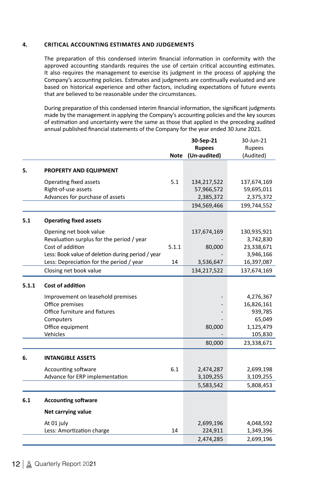#### **4. CRITICAL ACCOUNTING ESTIMATES AND JUDGEMENTS**

The preparation of this condensed interim financial information in conformity with the approved accounting standards requires the use of certain critical accounting estimates. It also requires the management to exercise its judgment in the process of applying the Company's accounting policies. Estimates and judgments are continually evaluated and are based on historical experience and other factors, including expectations of future events that are believed to be reasonable under the circumstances.

During preparation of this condensed interim financial information, the significant judgments made by the management in applying the Company's accounting policies and the key sources of estimation and uncertainty were the same as those that applied in the preceding audited annual published financial statements of the Company for the year ended 30 June 2021.

|       |                                                   |             | 30-Sep-21     | 30-Jun-21   |
|-------|---------------------------------------------------|-------------|---------------|-------------|
|       |                                                   |             | <b>Rupees</b> | Rupees      |
|       |                                                   | <b>Note</b> | (Un-audited)  | (Audited)   |
| 5.    | PROPERTY AND EQUIPMENT                            |             |               |             |
|       | Operating fixed assets                            | 5.1         | 134,217,522   | 137,674,169 |
|       | Right-of-use assets                               |             | 57,966,572    | 59,695,011  |
|       | Advances for purchase of assets                   |             | 2,385,372     | 2,375,372   |
|       |                                                   |             | 194,569,466   | 199,744,552 |
| 5.1   | <b>Operating fixed assets</b>                     |             |               |             |
|       | Opening net book value                            |             | 137,674,169   | 130,935,921 |
|       | Revaluation surplus for the period / year         |             |               | 3,742,830   |
|       | Cost of addition                                  | 5.1.1       | 80,000        | 23,338,671  |
|       | Less: Book value of deletion during period / year |             |               | 3,946,166   |
|       | Less: Depreciation for the period / year          | 14          | 3,536,647     | 16,397,087  |
|       | Closing net book value                            |             | 134,217,522   | 137,674,169 |
| 5.1.1 | Cost of addition                                  |             |               |             |
|       | Improvement on leasehold premises                 |             |               | 4,276,367   |
|       | Office premises                                   |             |               | 16,826,161  |
|       | Office furniture and fixtures                     |             |               | 939,785     |
|       | Computers                                         |             |               | 65,049      |
|       | Office equipment                                  |             | 80,000        | 1,125,479   |
|       | Vehicles                                          |             |               | 105,830     |
|       |                                                   |             | 80,000        | 23,338,671  |
| 6.    | <b>INTANGIBLE ASSETS</b>                          |             |               |             |
|       | Accounting software                               | 6.1         | 2,474,287     | 2,699,198   |
|       | Advance for ERP implementation                    |             | 3,109,255     | 3,109,255   |
|       |                                                   |             | 5,583,542     | 5,808,453   |
| 6.1   | <b>Accounting software</b>                        |             |               |             |
|       | Net carrying value                                |             |               |             |
|       | At 01 july                                        |             | 2,699,196     | 4,048,592   |
|       | Less: Amortization charge                         | 14          | 224,911       | 1,349,396   |
|       |                                                   |             | 2,474,285     | 2,699,196   |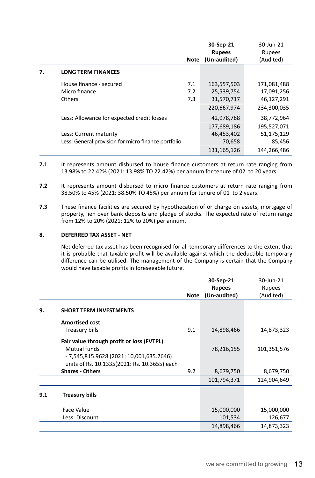|    |                                                     |      | 30-Sep-21     | 30-Jun-21   |
|----|-----------------------------------------------------|------|---------------|-------------|
|    |                                                     |      | <b>Rupees</b> | Rupees      |
|    |                                                     | Note | (Un-audited)  | (Audited)   |
| 7. | <b>LONG TERM FINANCES</b>                           |      |               |             |
|    | House finance - secured                             | 7.1  | 163.557.503   | 171.081.488 |
|    | Micro finance                                       | 7.2  | 25,539,754    | 17,091,256  |
|    | <b>Others</b>                                       | 7.3  | 31,570,717    | 46,127,291  |
|    |                                                     |      | 220,667,974   | 234,300,035 |
|    | Less: Allowance for expected credit losses          |      | 42,978,788    | 38,772,964  |
|    |                                                     |      | 177,689,186   | 195.527.071 |
|    | Less: Current maturity                              |      | 46,453,402    | 51,175,129  |
|    | Less: General provision for micro finance portfolio |      | 70,658        | 85,456      |
|    |                                                     |      | 131,165,126   | 144.266.486 |

- j **7.1** It represents amount disbursed to house finance customers at return rate ranging from 13.98% to 22.42% (2021: 13.98% TO 22.42%) per annum for tenure of 02 to 20 years.
- **7.2** It represents amount disbursed to micro finance customers at return rate ranging from 38.50% to 45% (2021: 38.50% TO 45%) per annum for tenure of 01 to 2 years.
- **7.3** These finance facilities are secured by hypothecation of or charge on assets, mortgage of property, lien over bank deposits and pledge of stocks. The expected rate of return range from 12% to 20% (2021: 12% to 20%) per annum.

#### **8. DEFERRED TAX ASSET - NET**

Net deferred tax asset has been recognised for all temporary differences to the extent that it is probable that taxable profit will be available against which the deductible temporary difference can be utilised. The management of the Company is certain that the Company would have taxable profits in foreseeable future.

|     |                                                                                          |             | 30-Sep-21     | 30-Jun-21   |
|-----|------------------------------------------------------------------------------------------|-------------|---------------|-------------|
|     |                                                                                          |             | <b>Rupees</b> | Rupees      |
|     |                                                                                          | <b>Note</b> | (Un-audited)  | (Audited)   |
| 9.  | <b>SHORT TERM INVESTMENTS</b>                                                            |             |               |             |
|     | <b>Amortised cost</b>                                                                    |             |               |             |
|     | Treasury bills                                                                           | 9.1         | 14,898,466    | 14,873,323  |
|     | Fair value through profit or loss (FVTPL)                                                |             |               |             |
|     | Mutual funds                                                                             |             | 78,216,155    | 101,351,576 |
|     | - 7,545,815.9628 (2021: 10,001,635.7646)<br>units of Rs. 10.1335(2021: Rs. 10.3655) each |             |               |             |
|     | <b>Shares - Others</b>                                                                   | 9.2         | 8,679,750     | 8,679,750   |
|     |                                                                                          |             | 101,794,371   | 124,904,649 |
| 9.1 | Treasury bills                                                                           |             |               |             |
|     | <b>Face Value</b>                                                                        |             | 15,000,000    | 15,000,000  |
|     | Less: Discount                                                                           |             | 101,534       | 126,677     |
|     |                                                                                          |             | 14,898,466    | 14,873,323  |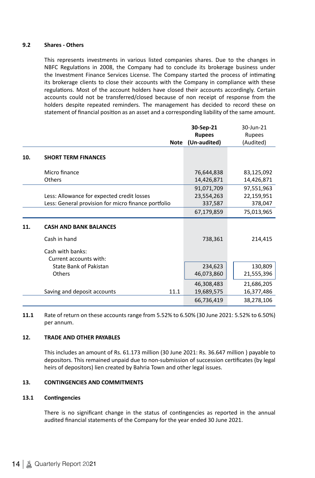#### **9.2 Shares - Others**

This represents investments in various listed companies shares. Due to the changes in NBFC Regulations in 2008, the Company had to conclude its brokerage business under the Investment Finance Services License. The Company started the process of intimating its brokerage clients to close their accounts with the Company in compliance with these regulations. Most of the account holders have closed their accounts accordingly. Certain accounts could not be transferred/closed because of non receipt of response from the holders despite repeated reminders. The management has decided to record these on statement of financial position as an asset and a corresponding liability of the same amount.

|     |                                                     | 30-Sep-21     | 30-Jun-21  |
|-----|-----------------------------------------------------|---------------|------------|
|     |                                                     | <b>Rupees</b> | Rupees     |
|     | <b>Note</b>                                         | (Un-audited)  | (Audited)  |
| 10. | <b>SHORT TERM FINANCES</b>                          |               |            |
|     | Micro finance                                       | 76,644,838    | 83,125,092 |
|     | Others                                              | 14,426,871    | 14,426,871 |
|     |                                                     | 91,071,709    | 97,551,963 |
|     | Less: Allowance for expected credit losses          | 23,554,263    | 22,159,951 |
|     | Less: General provision for micro finance portfolio | 337,587       | 378,047    |
|     |                                                     | 67,179,859    | 75,013,965 |
| 11. | <b>CASH AND BANK BALANCES</b>                       |               |            |
|     | Cash in hand                                        | 738,361       | 214,415    |
|     | Cash with banks:<br>Current accounts with:          |               |            |
|     | State Bank of Pakistan                              | 234,623       | 130,809    |
|     | Others                                              | 46,073,860    | 21,555,396 |
|     |                                                     | 46,308,483    | 21,686,205 |
|     | Saving and deposit accounts<br>11.1                 | 19,689,575    | 16,377,486 |
|     |                                                     | 66,736,419    | 38,278,106 |
|     |                                                     |               |            |

**11.1** Rate of return on these accounts range from 5.52% to 6.50% (30 June 2021: 5.52% to 6.50%) per annum.

#### **12. TRADE AND OTHER PAYABLES**

This includes an amount of Rs. 61.173 million (30 June 2021: Rs. 36.647 million ) payable to depositors. This remained unpaid due to non-submission of succession certificates (by legal heirs of depositors) lien created by Bahria Town and other legal issues.

#### **13. CONTINGENCIES AND COMMITMENTS**

#### **13.1 Contingencies**

There is no significant change in the status of contingencies as reported in the annual audited financial statements of the Company for the year ended 30 June 2021.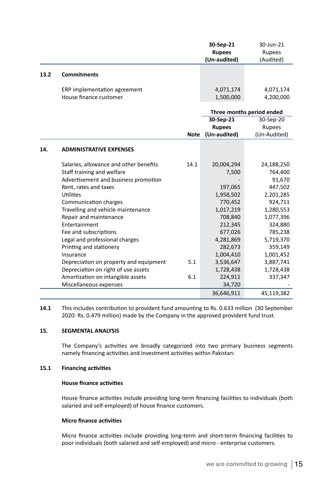|      |                                        |             | 30-Sep-21     | 30-Jun-21                 |
|------|----------------------------------------|-------------|---------------|---------------------------|
|      |                                        |             | <b>Rupees</b> | <b>Rupees</b>             |
|      |                                        |             | (Un-audited)  | (Audited)                 |
| 13.2 | <b>Commitments</b>                     |             |               |                           |
|      | ERP implementation agreement           |             | 4,071,174     | 4,071,174                 |
|      | House finance customer                 |             | 1,500,000     | 4,200,000                 |
|      |                                        |             |               | Three months period ended |
|      |                                        |             | 30-Sep-21     | 30-Sep-20                 |
|      |                                        |             | <b>Rupees</b> | Rupees                    |
|      |                                        | <b>Note</b> | (Un-audited)  | (Un-Audited)              |
| 14.  | <b>ADMINISTRATIVE EXPENSES</b>         |             |               |                           |
|      | Salaries, allowance and other benefits | 14.1        | 20,004,294    | 24,188,250                |
|      | Staff training and welfare             |             | 7,500         | 764,400                   |
|      | Advertisement and business promotion   |             |               | 91,670                    |
|      | Rent, rates and taxes                  |             | 197,065       | 447,502                   |
|      | Utilities                              |             | 1,958,502     | 2,201,285                 |
|      | Communication charges                  |             | 770,452       | 924,711                   |
|      | Travelling and vehicle maintenance     |             | 1,017,219     | 1,280,553                 |
|      | Repair and maintenance                 |             | 708,840       | 1,077,396                 |
|      | Entertainment                          |             | 212,345       | 324,880                   |
|      | Fee and subscriptions                  |             | 677,026       | 785,238                   |
|      | Legal and professional charges         |             | 4,281,869     | 5,719,370                 |
|      | Printing and stationery                |             | 282,673       | 359,149                   |
|      | Insurance                              |             | 1,004,410     | 1,001,452                 |
|      | Depreciation on property and equipment | 5.1         | 3,536,647     | 3,887,741                 |
|      | Depreciation on right of use assets    |             | 1,728,438     | 1,728,438                 |

**14.1** This includes contribution to provident fund amounting to Rs. 0.633 million (30 September 2020: Rs. 0.479 million) made by the Company in the approved provident fund trust.

Amortization on intangible assets 6.1 224,911 337,347<br>- 1337,347 34,720

#### **15. SEGMENTAL ANALYSIS**

j

The Company's activities are broadly categorized into two primary business segments namely financing activities and investment activities within Pakistan:

#### **15.1 Financing activities**

#### **House finance activities**

Miscellaneous expenses

House finance activities include providing long-term financing facilities to individuals (both salaried and self-employed) of house finance customers.

#### **Micro finance activities**

Micro finance activities include providing long-term and short-term financing facilities to poor individuals (both salaried and self-employed) and micro - enterprise customers.

36,646,911 45,119,382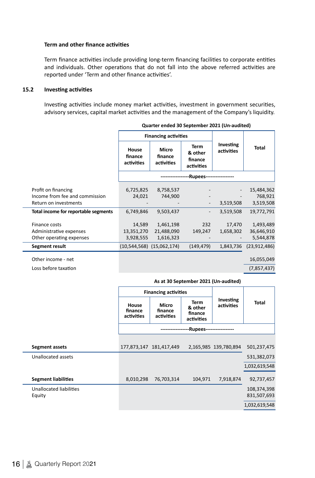#### **Term and other finance activities**

Term finance activities include providing long-term financing facilities to corporate entities and individuals. Other operations that do not fall into the above referred activities are reported under 'Term and other finance activities'.

#### **15.2 Investing activities**

Investing activities include money market activities, investment in government securities, advisory services, capital market activities and the management of the Company's liquidity.

| Total          |
|----------------|
|                |
| 15,484,362     |
| 768,921        |
| 3,519,508      |
| 19,772,791     |
|                |
| 1,493,489      |
| 36,646,910     |
| 5,544,878      |
| (23, 912, 486) |
| 16,055,049     |
| (7, 857, 437)  |
|                |

 **Quarter ended 30 September 2021 (Un-audited)**

#### **As at 30 September 2021 (Un-audited)**

|                            |                                | <b>Financing activities</b>           |                                                 |                         |               |
|----------------------------|--------------------------------|---------------------------------------|-------------------------------------------------|-------------------------|---------------|
|                            | House<br>finance<br>activities | <b>Micro</b><br>finance<br>activities | <b>Term</b><br>& other<br>finance<br>activities | Investing<br>activities | <b>Total</b>  |
|                            |                                | -Rupees-----------------              |                                                 |                         |               |
|                            |                                |                                       |                                                 |                         |               |
| Segment assets             |                                | 177,873,147 181,417,449               |                                                 | 2,165,985 139,780,894   | 501,237,475   |
| Unallocated assets         |                                |                                       |                                                 |                         | 531,382,073   |
|                            |                                |                                       |                                                 |                         | 1,032,619,548 |
| <b>Segment liabilities</b> | 8,010,298                      | 76,703,314                            | 104,971                                         | 7,918,874               | 92,737,457    |
| Unallocated liabilities    |                                |                                       |                                                 |                         | 108,374,398   |
| Equity                     |                                |                                       |                                                 |                         | 831,507,693   |
|                            |                                |                                       |                                                 |                         | 1,032,619,548 |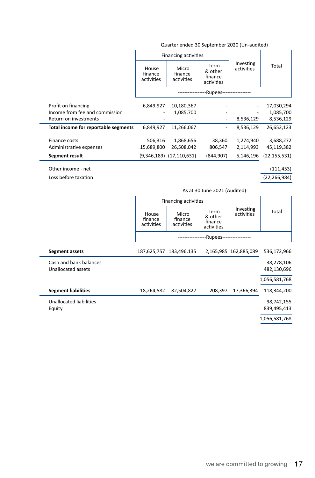| Quarter ended 30 September 2020 (Un-audited) |
|----------------------------------------------|
|----------------------------------------------|

|                                      | <b>Financing activities</b>    |                                |                                          |                          |                |
|--------------------------------------|--------------------------------|--------------------------------|------------------------------------------|--------------------------|----------------|
|                                      | House<br>finance<br>activities | Micro<br>finance<br>activities | Term<br>& other<br>finance<br>activities | Investing<br>activities  | Total          |
|                                      | --Rupees------------------     |                                |                                          |                          |                |
| Profit on financing                  | 6,849,927                      | 10,180,367                     |                                          | $\overline{\phantom{a}}$ | 17,030,294     |
| Income from fee and commission       |                                | 1,085,700                      | ۰                                        |                          | 1,085,700      |
| Return on investments                |                                |                                | $\overline{a}$                           | 8,536,129                | 8,536,129      |
| Total income for reportable segments | 6,849,927                      | 11,266,067                     | $\qquad \qquad -$                        | 8,536,129                | 26,652,123     |
| Finance costs                        | 506,316                        | 1,868,656                      | 38,360                                   | 1,274,940                | 3,688,272      |
| Administrative expenses              | 15,689,800                     | 26,508,042                     | 806,547                                  | 2,114,993                | 45,119,382     |
| Segment result                       |                                | $(9,346,189)$ $(17,110,631)$   | (844,907)                                | 5,146,196                | (22, 155, 531) |
| Other income - net                   |                                |                                |                                          |                          | (111, 453)     |

Loss before taxation (22,266,984)

|                                              | As at 30 June 2021 (Audited)   |                                |                                          |                         |                           |  |
|----------------------------------------------|--------------------------------|--------------------------------|------------------------------------------|-------------------------|---------------------------|--|
|                                              | <b>Financing activities</b>    |                                |                                          |                         |                           |  |
|                                              | House<br>finance<br>activities | Micro<br>finance<br>activities | Term<br>& other<br>finance<br>activities | Investing<br>activities | Total                     |  |
|                                              |                                | -Rupees------------------      |                                          |                         |                           |  |
| Segment assets                               |                                | 187,625,757 183,496,135        |                                          | 2,165,985 162,885,089   | 536,172,966               |  |
| Cash and bank balances<br>Unallocated assets |                                |                                |                                          |                         | 38,278,106<br>482,130,696 |  |
|                                              |                                |                                |                                          |                         | 1,056,581,768             |  |
| <b>Segment liabilities</b>                   | 18,264,582                     | 82,504,827                     | 208,397                                  | 17,366,394              | 118,344,200               |  |
| Unallocated liabilities<br>Equity            |                                |                                |                                          |                         | 98,742,155<br>839,495,413 |  |
|                                              |                                |                                |                                          |                         | 1,056,581,768             |  |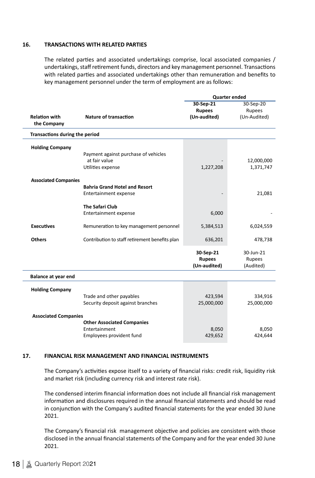#### **16. TRANSACTIONS WITH RELATED PARTIES**

The related parties and associated undertakings comprise, local associated companies / undertakings, staff retirement funds, directors and key management personnel. Transactions with related parties and associated undertakings other than remuneration and benefits to key management personnel under the term of employment are as follows:

|                                     |                                                | <b>Quarter ended</b>                       |                                  |  |
|-------------------------------------|------------------------------------------------|--------------------------------------------|----------------------------------|--|
|                                     |                                                | 30-Sep-21                                  | 30-Sep-20                        |  |
|                                     |                                                | <b>Rupees</b>                              | Rupees                           |  |
| <b>Relation with</b><br>the Company | Nature of transaction                          | (Un-audited)                               | (Un-Audited)                     |  |
| Transactions during the period      |                                                |                                            |                                  |  |
| <b>Holding Company</b>              |                                                |                                            |                                  |  |
|                                     | Payment against purchase of vehicles           |                                            |                                  |  |
|                                     | at fair value                                  |                                            | 12,000,000                       |  |
|                                     | Utilities expense                              | 1,227,208                                  | 1,371,747                        |  |
| <b>Associated Companies</b>         |                                                |                                            |                                  |  |
|                                     | <b>Bahria Grand Hotel and Resort</b>           |                                            |                                  |  |
|                                     | Entertainment expense                          |                                            | 21,081                           |  |
|                                     | <b>The Safari Club</b>                         |                                            |                                  |  |
|                                     | <b>Entertainment expense</b>                   | 6,000                                      |                                  |  |
| <b>Executives</b>                   | Remuneration to key management personnel       | 5,384,513                                  | 6,024,559                        |  |
| <b>Others</b>                       | Contribution to staff retirement benefits plan | 636,201                                    | 478,738                          |  |
|                                     |                                                | 30-Sep-21<br><b>Rupees</b><br>(Un-audited) | 30-Jun-21<br>Rupees<br>(Audited) |  |
| Balance at year end                 |                                                |                                            |                                  |  |
|                                     |                                                |                                            |                                  |  |
| <b>Holding Company</b>              |                                                |                                            |                                  |  |
|                                     | Trade and other payables                       | 423,594                                    | 334,916                          |  |
|                                     | Security deposit against branches              | 25,000,000                                 | 25,000,000                       |  |
| <b>Associated Companies</b>         |                                                |                                            |                                  |  |
|                                     | <b>Other Associated Companies</b>              |                                            |                                  |  |
|                                     | Entertainment                                  | 8,050                                      | 8,050                            |  |
|                                     | Employees provident fund                       | 429,652                                    | 424,644                          |  |
|                                     |                                                |                                            |                                  |  |

#### **17. FINANCIAL RISK MANAGEMENT AND FINANCIAL INSTRUMENTS**

The Company's activities expose itself to a variety of financial risks: credit risk, liquidity risk and market risk (including currency risk and interest rate risk).

The condensed interim financial information does not include all financial risk management information and disclosures required in the annual financial statements and should be read in conjunction with the Company's audited financial statements for the year ended 30 June 2021.

The Company's financial risk management objective and policies are consistent with those disclosed in the annual financial statements of the Company and for the year ended 30 June 2021.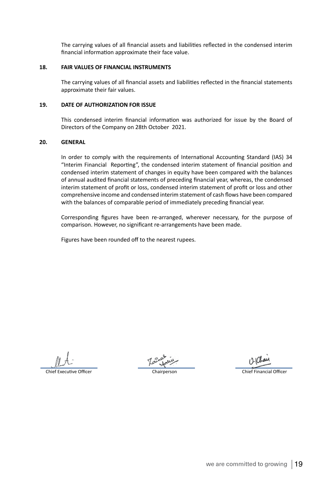The carrying values of all financial assets and liabilities reflected in the condensed interim financial information approximate their face value.

#### **18. FAIR VALUES OF FINANCIAL INSTRUMENTS**

The carrying values of all financial assets and liabilities reflected in the financial statements approximate their fair values.

#### **19. DATE OF AUTHORIZATION FOR ISSUE**

This condensed interim financial information was authorized for issue by the Board of Directors of the Company on 28th October 2021.

#### **20. GENERAL**

In order to comply with the requirements of International Accounting Standard (IAS) 34 "Interim Financial Reporting", the condensed interim statement of financial position and condensed interim statement of changes in equity have been compared with the balances of annual audited financial statements of preceding financial year, whereas, the condensed interim statement of profit or loss, condensed interim statement of profit or loss and other comprehensive income and condensed interim statement of cash flows have been compared with the balances of comparable period of immediately preceding financial year.

Corresponding figures have been re-arranged, wherever necessary, for the purpose of comparison. However, no significant re-arrangements have been made.

Figures have been rounded off to the nearest rupees.

Chief Executive Officer Chairperson Chief Financial Officer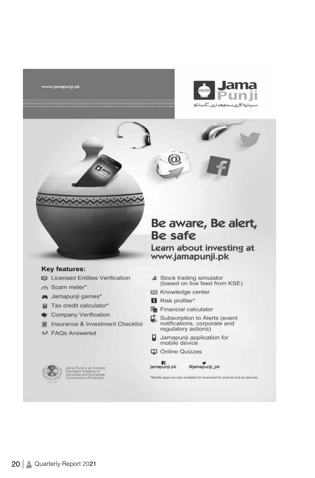www.jamapunji.pk





#### Key features:

- **吗 Licensed Entities Verification**
- m Scam meter\*
- m Jamapunji games\*
- Tax credit calculator\*
- **W** Company Verification
- Insurance & Investment Checklist
- <sup>2</sup><sub>2</sub>7 FAQs Answered



ama Punji is an Investor<br>ducation Initiative of<br>ecurites and Exchange<br>ommission of Pakistan

## Be aware, Be alert, **Be safe**

Learn about investing at www.jamapunji.pk

- a Stock trading simulator (based on live feed from KSE)
- **Ell** Knowledge center
- Risk profiler\*
- Financial calculator
- Subscription to Alerts (event notifications, corporate and<br>regulatory actions)
- Jamapunji application for ฌ mobile device
- C Online Quizzes



@jamapunji\_pk

\*Mobile apps are also available for download for android and ios devices